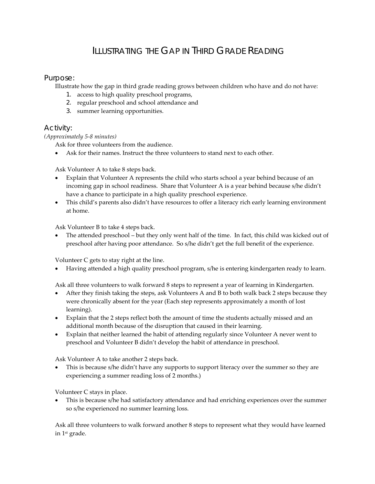# ILLUSTRATING THE GAP IN THIRD GRADE READING

## Purpose:

Illustrate how the gap in third grade reading grows between children who have and do not have:

- 1. access to high quality preschool programs,
- 2. regular preschool and school attendance and
- 3. summer learning opportunities.

## Activity:

### *(Approximately 5-8 minutes)*

Ask for three volunteers from the audience.

Ask for their names. Instruct the three volunteers to stand next to each other.

Ask Volunteer A to take 8 steps back.

- Explain that Volunteer A represents the child who starts school a year behind because of an incoming gap in school readiness. Share that Volunteer A is a year behind because s/he didn't have a chance to participate in a high quality preschool experience.
- This child's parents also didn't have resources to offer a literacy rich early learning environment at home.

Ask Volunteer B to take 4 steps back.

The attended preschool – but they only went half of the time. In fact, this child was kicked out of preschool after having poor attendance. So s/he didn't get the full benefit of the experience.

Volunteer C gets to stay right at the line.

• Having attended a high quality preschool program, s/he is entering kindergarten ready to learn.

Ask all three volunteers to walk forward 8 steps to represent a year of learning in Kindergarten.

- After they finish taking the steps, ask Volunteers A and B to both walk back 2 steps because they were chronically absent for the year (Each step represents approximately a month of lost learning).
- Explain that the 2 steps reflect both the amount of time the students actually missed and an additional month because of the disruption that caused in their learning.
- Explain that neither learned the habit of attending regularly since Volunteer A never went to preschool and Volunteer B didn't develop the habit of attendance in preschool.

Ask Volunteer A to take another 2 steps back.

This is because s/he didn't have any supports to support literacy over the summer so they are experiencing a summer reading loss of 2 months.)

Volunteer C stays in place.

• This is because s/he had satisfactory attendance and had enriching experiences over the summer so s/he experienced no summer learning loss.

Ask all three volunteers to walk forward another 8 steps to represent what they would have learned in 1st grade.